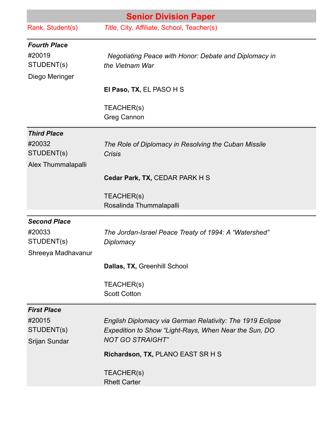| <b>Senior Division Paper</b>                                      |                                                                                                                                               |
|-------------------------------------------------------------------|-----------------------------------------------------------------------------------------------------------------------------------------------|
| Rank, Student(s)                                                  | Title, City, Affiliate, School, Teacher(s)                                                                                                    |
| <b>Fourth Place</b><br>#20019<br>STUDENT(s)<br>Diego Meringer     | <b>Negotiating Peace with Honor: Debate and Diplomacy in</b><br>the Vietnam War                                                               |
|                                                                   | El Paso, TX, EL PASO H S                                                                                                                      |
|                                                                   | TEACHER(s)<br><b>Greg Cannon</b>                                                                                                              |
| <b>Third Place</b><br>#20032<br>STUDENT(s)<br>Alex Thummalapalli  | The Role of Diplomacy in Resolving the Cuban Missile<br>Crisis                                                                                |
|                                                                   | Cedar Park, TX, CEDAR PARK H S                                                                                                                |
|                                                                   | TEACHER(s)<br>Rosalinda Thummalapalli                                                                                                         |
| <b>Second Place</b><br>#20033<br>STUDENT(s)<br>Shreeya Madhavanur | The Jordan-Israel Peace Treaty of 1994: A "Watershed"<br>Diplomacy                                                                            |
|                                                                   | Dallas, TX, Greenhill School                                                                                                                  |
|                                                                   | TEACHER(s)<br><b>Scott Cotton</b>                                                                                                             |
| <b>First Place</b>                                                |                                                                                                                                               |
| #20015<br>STUDENT(s)<br>Srijan Sundar                             | English Diplomacy via German Relativity: The 1919 Eclipse<br>Expedition to Show "Light-Rays, When Near the Sun, DO<br><b>NOT GO STRAIGHT"</b> |
|                                                                   | Richardson, TX, PLANO EAST SR H S                                                                                                             |
|                                                                   | TEACHER(S)<br><b>Rhett Carter</b>                                                                                                             |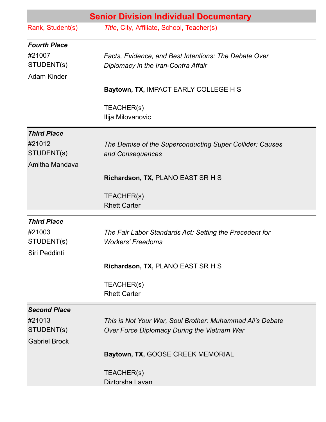|                                                                   | <b>Senior Division Individual Documentary</b>                                                            |
|-------------------------------------------------------------------|----------------------------------------------------------------------------------------------------------|
| Rank, Student(s)                                                  | Title, City, Affiliate, School, Teacher(s)                                                               |
| <b>Fourth Place</b><br>#21007<br>STUDENT(s)<br><b>Adam Kinder</b> | Facts, Evidence, and Best Intentions: The Debate Over<br>Diplomacy in the Iran-Contra Affair             |
|                                                                   | Baytown, TX, IMPACT EARLY COLLEGE H S                                                                    |
|                                                                   | TEACHER(s)<br>Ilija Milovanovic                                                                          |
| <b>Third Place</b>                                                |                                                                                                          |
| #21012<br>STUDENT(s)<br>Amitha Mandava                            | The Demise of the Superconducting Super Collider: Causes<br>and Consequences                             |
|                                                                   | Richardson, TX, PLANO EAST SR H S                                                                        |
|                                                                   | TEACHER(s)<br><b>Rhett Carter</b>                                                                        |
| <b>Third Place</b><br>#21003<br>STUDENT(s)<br>Siri Peddinti       | The Fair Labor Standards Act: Setting the Precedent for<br><b>Workers' Freedoms</b>                      |
|                                                                   | Richardson, TX, PLANO EAST SR H S                                                                        |
|                                                                   | TEACHER(s)<br><b>Rhett Carter</b>                                                                        |
| <b>Second Place</b>                                               |                                                                                                          |
| #21013<br>STUDENT(s)<br><b>Gabriel Brock</b>                      | This is Not Your War, Soul Brother: Muhammad Ali's Debate<br>Over Force Diplomacy During the Vietnam War |
|                                                                   | Baytown, TX, GOOSE CREEK MEMORIAL                                                                        |
|                                                                   | TEACHER(s)<br>Diztorsha Lavan                                                                            |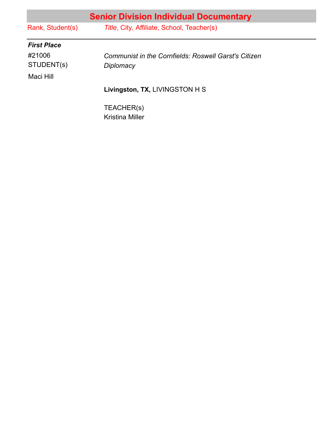| <b>Senior Division Individual Documentary</b> |                                                             |  |
|-----------------------------------------------|-------------------------------------------------------------|--|
| Rank, Student(s)                              | Title, City, Affiliate, School, Teacher(s)                  |  |
| <b>First Place</b>                            |                                                             |  |
| #21006                                        | <b>Communist in the Cornfields: Roswell Garst's Citizen</b> |  |
| STUDENT(s)                                    | Diplomacy                                                   |  |
| Maci Hill                                     |                                                             |  |
|                                               | Livingston, TX, LIVINGSTON H S                              |  |
|                                               | TEACHER(s)<br><b>Kristina Miller</b>                        |  |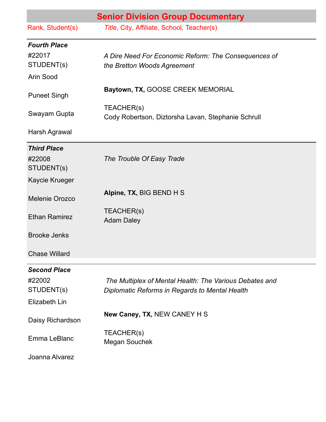| <b>Senior Division Group Documentary</b> |                                                                  |
|------------------------------------------|------------------------------------------------------------------|
| Rank, Student(s)                         | Title, City, Affiliate, School, Teacher(s)                       |
| <b>Fourth Place</b>                      |                                                                  |
| #22017                                   | A Dire Need For Economic Reform: The Consequences of             |
| STUDENT(s)                               | the Bretton Woods Agreement                                      |
| Arin Sood                                |                                                                  |
| <b>Puneet Singh</b>                      | Baytown, TX, GOOSE CREEK MEMORIAL                                |
| Swayam Gupta                             | TEACHER(s)<br>Cody Robertson, Diztorsha Lavan, Stephanie Schrull |
| Harsh Agrawal                            |                                                                  |
| <b>Third Place</b>                       |                                                                  |
| #22008                                   | The Trouble Of Easy Trade                                        |
| STUDENT(s)                               |                                                                  |
| Kaycie Krueger                           |                                                                  |
| Melenie Orozco                           | Alpine, TX, BIG BEND H S                                         |
| <b>Ethan Ramirez</b>                     | TEACHER(s)<br><b>Adam Daley</b>                                  |
|                                          |                                                                  |
| <b>Brooke Jenks</b>                      |                                                                  |
| <b>Chase Willard</b>                     |                                                                  |
| <b>Second Place</b>                      |                                                                  |
| #22002                                   | The Multiplex of Mental Health: The Various Debates and          |
| STUDENT(s)                               | Diplomatic Reforms in Regards to Mental Health                   |
| Elizabeth Lin                            |                                                                  |
| Daisy Richardson                         | New Caney, TX, NEW CANEY H S                                     |
| Emma LeBlanc                             | TEACHER(s)<br><b>Megan Souchek</b>                               |
| Joanna Alvarez                           |                                                                  |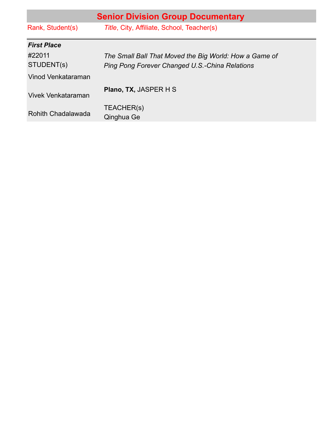| <b>Senior Division Group Documentary</b> |                                                        |  |
|------------------------------------------|--------------------------------------------------------|--|
| Rank, Student(s)                         | Title, City, Affiliate, School, Teacher(s)             |  |
| <b>First Place</b>                       |                                                        |  |
| #22011                                   | The Small Ball That Moved the Big World: How a Game of |  |
| STUDENT(s)                               | Ping Pong Forever Changed U.S.-China Relations         |  |
| Vinod Venkataraman                       |                                                        |  |
| Vivek Venkataraman                       | Plano, TX, JASPER H S                                  |  |
| <b>Rohith Chadalawada</b>                | TEACHER(s)<br>Qinghua Ge                               |  |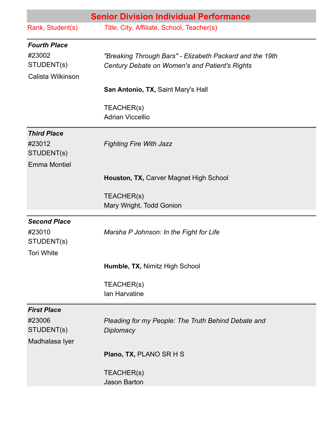|                                                                   | <b>Senior Division Individual Performance</b>                                                              |
|-------------------------------------------------------------------|------------------------------------------------------------------------------------------------------------|
| Rank, Student(s)                                                  | Title, City, Affiliate, School, Teacher(s)                                                                 |
| <b>Fourth Place</b><br>#23002<br>STUDENT(s)<br>Calista Wilkinson  | "Breaking Through Bars" - Elizabeth Packard and the 19th<br>Century Debate on Women's and Patient's Rights |
|                                                                   | San Antonio, TX, Saint Mary's Hall                                                                         |
|                                                                   | TEACHER(s)<br><b>Adrian Viccellio</b>                                                                      |
| <b>Third Place</b><br>#23012<br>STUDENT(s)<br><b>Emma Montiel</b> | <b>Fighting Fire With Jazz</b>                                                                             |
|                                                                   | Houston, TX, Carver Magnet High School                                                                     |
|                                                                   | TEACHER(s)<br>Mary Wright, Todd Gonion                                                                     |
| <b>Second Place</b><br>#23010<br>STUDENT(s)<br><b>Tori White</b>  | Marsha P Johnson: In the Fight for Life                                                                    |
|                                                                   | Humble, TX, Nimitz High School                                                                             |
|                                                                   | TEACHER(s)<br>Ian Harvatine                                                                                |
| <b>First Place</b><br>#23006<br>STUDENT(s)<br>Madhalasa Iyer      | Pleading for my People: The Truth Behind Debate and<br>Diplomacy                                           |
|                                                                   | Plano, TX, PLANO SR H S                                                                                    |
|                                                                   | TEACHER(s)<br><b>Jason Barton</b>                                                                          |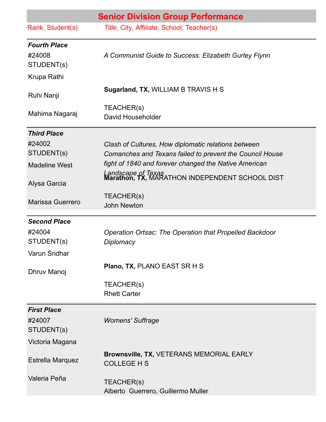| <b>Senior Division Group Performance</b>                   |                                                                                                                 |
|------------------------------------------------------------|-----------------------------------------------------------------------------------------------------------------|
| Rank, Student(s)                                           | Title, City, Affiliate, School, Teacher(s)                                                                      |
| <b>Fourth Place</b><br>#24008<br>STUDENT(s)<br>Krupa Rathi | A Communist Guide to Success: Elizabeth Gurley Flynn                                                            |
| Ruhi Nanji                                                 | Sugarland, TX, WILLIAM B TRAVIS H S                                                                             |
| Mahima Nagaraj                                             | TEACHER(s)<br>David Householder                                                                                 |
| <b>Third Place</b>                                         |                                                                                                                 |
| #24002<br>STUDENT(s)                                       | Clash of Cultures, How diplomatic relations between<br>Comanches and Texans failed to prevent the Council House |
| <b>Madeline West</b>                                       | fight of 1840 and forever changed the Native American                                                           |
| Alysa Garcia                                               | Landscape of Texas<br><b>Marathon, TX,</b> MARATHON INDEPENDENT SCHOOL DIST                                     |
| <b>Marissa Guerrero</b>                                    | TEACHER(s)<br><b>John Newton</b>                                                                                |
| <b>Second Place</b>                                        |                                                                                                                 |
| #24004<br>STUDENT(s)<br>Varun Sridhar                      | <b>Operation Ortsac: The Operation that Propelled Backdoor</b><br>Diplomacy                                     |
| Dhruv Manoj                                                | Plano, TX, PLANO EAST SR H S                                                                                    |
|                                                            | TEACHER(s)<br><b>Rhett Carter</b>                                                                               |
| <b>First Place</b><br>#24007<br>STUDENT(s)                 | <b>Womens' Suffrage</b>                                                                                         |
| Victoria Magana                                            |                                                                                                                 |
| <b>Estrella Marquez</b>                                    | Brownsville, TX, VETERANS MEMORIAL EARLY<br><b>COLLEGE H S</b>                                                  |
| Valeria Peña                                               | TEACHER(s)<br>Alberto Guerrero, Guillermo Muller                                                                |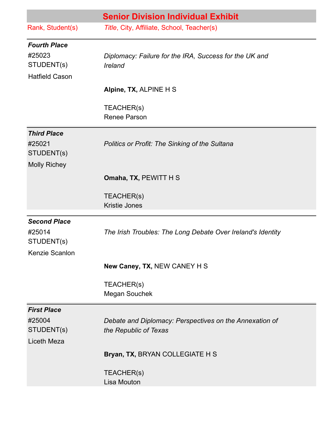|                                                                      | <b>Senior Division Individual Exhibit</b>                                        |
|----------------------------------------------------------------------|----------------------------------------------------------------------------------|
| Rank, Student(s)                                                     | Title, City, Affiliate, School, Teacher(s)                                       |
| <b>Fourth Place</b><br>#25023<br>STUDENT(s)<br><b>Hatfield Cason</b> | Diplomacy: Failure for the IRA, Success for the UK and<br>Ireland                |
|                                                                      | Alpine, TX, ALPINE H S                                                           |
|                                                                      | TEACHER(s)<br><b>Renee Parson</b>                                                |
| <b>Third Place</b><br>#25021<br>STUDENT(s)<br><b>Molly Richey</b>    | <b>Politics or Profit: The Sinking of the Sultana</b>                            |
|                                                                      | <b>Omaha, TX, PEWITT H S</b>                                                     |
|                                                                      | TEACHER(s)<br><b>Kristie Jones</b>                                               |
| <b>Second Place</b><br>#25014<br>STUDENT(s)<br>Kenzie Scanlon        | The Irish Troubles: The Long Debate Over Ireland's Identity                      |
|                                                                      | New Caney, TX, NEW CANEY H S                                                     |
|                                                                      | TEACHER(s)<br><b>Megan Souchek</b>                                               |
| <b>First Place</b><br>#25004<br>STUDENT(s)<br>Liceth Meza            | Debate and Diplomacy: Perspectives on the Annexation of<br>the Republic of Texas |
|                                                                      | Bryan, TX, BRYAN COLLEGIATE H S                                                  |
|                                                                      | TEACHER(s)<br>Lisa Mouton                                                        |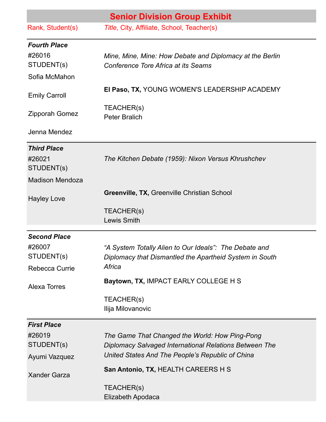| <b>Senior Division Group Exhibit</b> |                                                                                                                   |
|--------------------------------------|-------------------------------------------------------------------------------------------------------------------|
| Rank, Student(s)                     | Title, City, Affiliate, School, Teacher(s)                                                                        |
| <b>Fourth Place</b>                  |                                                                                                                   |
| #26016                               | Mine, Mine, Mine: How Debate and Diplomacy at the Berlin                                                          |
| STUDENT(s)                           | Conference Tore Africa at its Seams                                                                               |
| Sofia McMahon                        |                                                                                                                   |
| <b>Emily Carroll</b>                 | EI Paso, TX, YOUNG WOMEN'S LEADERSHIP ACADEMY                                                                     |
| Zipporah Gomez                       | TEACHER(s)<br><b>Peter Bralich</b>                                                                                |
| Jenna Mendez                         |                                                                                                                   |
| <b>Third Place</b>                   |                                                                                                                   |
| #26021                               | The Kitchen Debate (1959): Nixon Versus Khrushchev                                                                |
| STUDENT(s)                           |                                                                                                                   |
| <b>Madison Mendoza</b>               |                                                                                                                   |
| <b>Hayley Love</b>                   | Greenville, TX, Greenville Christian School                                                                       |
|                                      | TEACHER(s)<br><b>Lewis Smith</b>                                                                                  |
| <b>Second Place</b>                  |                                                                                                                   |
| #26007                               | "A System Totally Alien to Our Ideals": The Debate and                                                            |
| STUDENT(s)                           | Diplomacy that Dismantled the Apartheid System in South                                                           |
| Rebecca Currie                       | Africa                                                                                                            |
| <b>Alexa Torres</b>                  | Baytown, TX, IMPACT EARLY COLLEGE H S                                                                             |
|                                      | TEACHER(s)<br>Ilija Milovanovic                                                                                   |
| <b>First Place</b>                   |                                                                                                                   |
| #26019                               | The Game That Changed the World: How Ping-Pong                                                                    |
| STUDENT(s)                           | <b>Diplomacy Salvaged International Relations Between The</b><br>United States And The People's Republic of China |
| Ayumi Vazquez                        |                                                                                                                   |
| <b>Xander Garza</b>                  | San Antonio, TX, HEALTH CAREERS H S                                                                               |
|                                      | TEACHER(s)<br>Elizabeth Apodaca                                                                                   |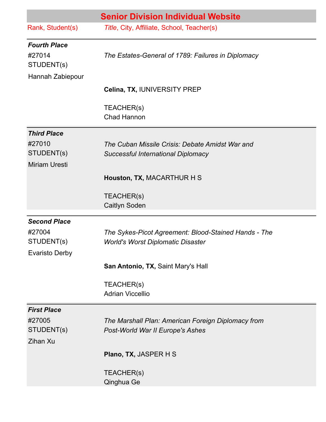| <b>Senior Division Individual Website</b>                                                        |
|--------------------------------------------------------------------------------------------------|
| Title, City, Affiliate, School, Teacher(s)                                                       |
| The Estates-General of 1789: Failures in Diplomacy                                               |
| Celina, TX, IUNIVERSITY PREP                                                                     |
| TEACHER(s)<br><b>Chad Hannon</b>                                                                 |
|                                                                                                  |
| The Cuban Missile Crisis: Debate Amidst War and<br><b>Successful International Diplomacy</b>     |
| Houston, TX, MACARTHUR H S                                                                       |
| TEACHER(s)<br><b>Caitlyn Soden</b>                                                               |
| The Sykes-Picot Agreement: Blood-Stained Hands - The<br><b>World's Worst Diplomatic Disaster</b> |
| San Antonio, TX, Saint Mary's Hall                                                               |
| TEACHER(s)<br><b>Adrian Viccellio</b>                                                            |
| The Marshall Plan: American Foreign Diplomacy from<br>Post-World War II Europe's Ashes           |
| <b>Plano, TX, JASPER H S</b>                                                                     |
| TEACHER(s)<br>Qinghua Ge                                                                         |
|                                                                                                  |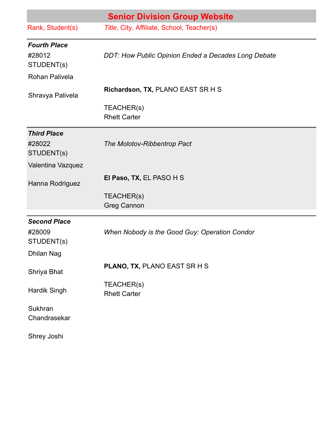| <b>Senior Division Group Website</b>        |                                                     |
|---------------------------------------------|-----------------------------------------------------|
| Rank, Student(s)                            | Title, City, Affiliate, School, Teacher(s)          |
| <b>Fourth Place</b><br>#28012<br>STUDENT(s) | DDT: How Public Opinion Ended a Decades Long Debate |
| Rohan Palivela                              |                                                     |
| Shravya Palivela                            | Richardson, TX, PLANO EAST SR H S                   |
|                                             | TEACHER(s)<br><b>Rhett Carter</b>                   |
| <b>Third Place</b><br>#28022<br>STUDENT(s)  | The Molotov-Ribbentrop Pact                         |
| Valentina Vazquez                           |                                                     |
| Hanna Rodriguez                             | El Paso, TX, EL PASO H S                            |
|                                             | TEACHER(s)<br><b>Greg Cannon</b>                    |
| <b>Second Place</b>                         |                                                     |
| #28009<br>STUDENT(s)                        | When Nobody is the Good Guy: Operation Condor       |
| <b>Dhilan Nag</b>                           |                                                     |
| Shriya Bhat                                 | <b>PLANO, TX, PLANO EAST SR H S</b>                 |
| <b>Hardik Singh</b>                         | TEACHER(s)<br><b>Rhett Carter</b>                   |
| Sukhran<br>Chandrasekar                     |                                                     |
| Shrey Joshi                                 |                                                     |